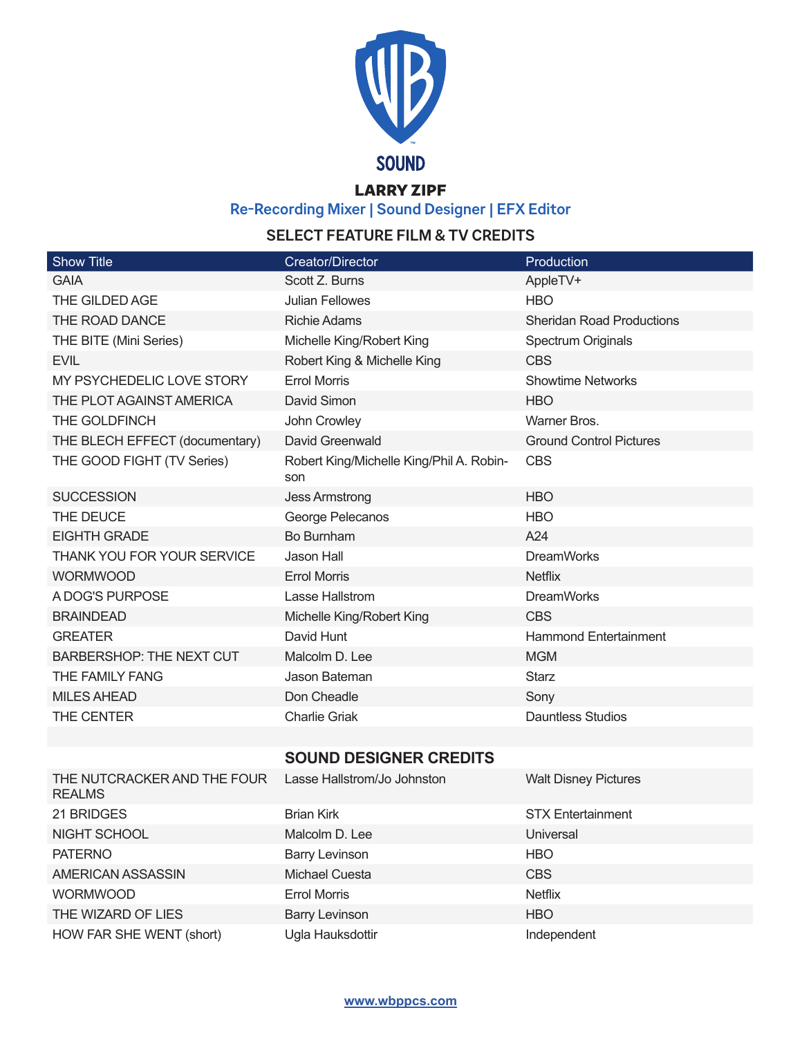

## LARRY ZIPF

**Re-Recording Mixer | Sound Designer | EFX Editor**

## **SELECT FEATURE FILM & TV CREDITS**

| <b>Show Title</b>                            | <b>Creator/Director</b>                         | Production                       |
|----------------------------------------------|-------------------------------------------------|----------------------------------|
| <b>GAIA</b>                                  | Scott Z. Burns                                  | AppleTV+                         |
| THE GILDED AGE                               | <b>Julian Fellowes</b>                          | <b>HBO</b>                       |
| THE ROAD DANCE                               | <b>Richie Adams</b>                             | <b>Sheridan Road Productions</b> |
| THE BITE (Mini Series)                       | Michelle King/Robert King                       | Spectrum Originals               |
| <b>EVIL</b>                                  | Robert King & Michelle King                     | <b>CBS</b>                       |
| MY PSYCHEDELIC LOVE STORY                    | <b>Errol Morris</b>                             | <b>Showtime Networks</b>         |
| THE PLOT AGAINST AMERICA                     | David Simon                                     | <b>HBO</b>                       |
| THE GOLDFINCH                                | John Crowley                                    | Warner Bros.                     |
| THE BLECH EFFECT (documentary)               | David Greenwald                                 | <b>Ground Control Pictures</b>   |
| THE GOOD FIGHT (TV Series)                   | Robert King/Michelle King/Phil A. Robin-<br>son | <b>CBS</b>                       |
| <b>SUCCESSION</b>                            | <b>Jess Armstrong</b>                           | <b>HBO</b>                       |
| THE DEUCE                                    | George Pelecanos                                | <b>HBO</b>                       |
| <b>EIGHTH GRADE</b>                          | Bo Burnham                                      | A24                              |
| THANK YOU FOR YOUR SERVICE                   | Jason Hall                                      | <b>DreamWorks</b>                |
| <b>WORMWOOD</b>                              | <b>Errol Morris</b>                             | <b>Netflix</b>                   |
| A DOG'S PURPOSE                              | Lasse Hallstrom                                 | <b>DreamWorks</b>                |
| <b>BRAINDEAD</b>                             | Michelle King/Robert King                       | <b>CBS</b>                       |
| <b>GREATER</b>                               | David Hunt                                      | <b>Hammond Entertainment</b>     |
| <b>BARBERSHOP: THE NEXT CUT</b>              | Malcolm D. Lee                                  | <b>MGM</b>                       |
| THE FAMILY FANG                              | Jason Bateman                                   | <b>Starz</b>                     |
| <b>MILES AHEAD</b>                           | Don Cheadle                                     | Sony                             |
| THE CENTER                                   | <b>Charlie Griak</b>                            | <b>Dauntless Studios</b>         |
|                                              |                                                 |                                  |
|                                              | <b>SOUND DESIGNER CREDITS</b>                   |                                  |
| THE NUTCRACKER AND THE FOUR<br><b>REALMS</b> | Lasse Hallstrom/Jo Johnston                     | <b>Walt Disney Pictures</b>      |
| 21 BRIDGES                                   | <b>Brian Kirk</b>                               | <b>STX Entertainment</b>         |
| NIGHT SCHOOL                                 | Malcolm D. Lee                                  | Universal                        |
| <b>PATERNO</b>                               | <b>Barry Levinson</b>                           | <b>HBO</b>                       |
| AMERICAN ASSASSIN                            | Michael Cuesta                                  | <b>CBS</b>                       |
| <b>WORMWOOD</b>                              | <b>Errol Morris</b>                             | <b>Netflix</b>                   |
| THE WIZARD OF LIES                           | <b>Barry Levinson</b>                           | <b>HBO</b>                       |
| HOW FAR SHE WENT (short)                     | Ugla Hauksdottir                                | Independent                      |

**www.wbppcs.com**